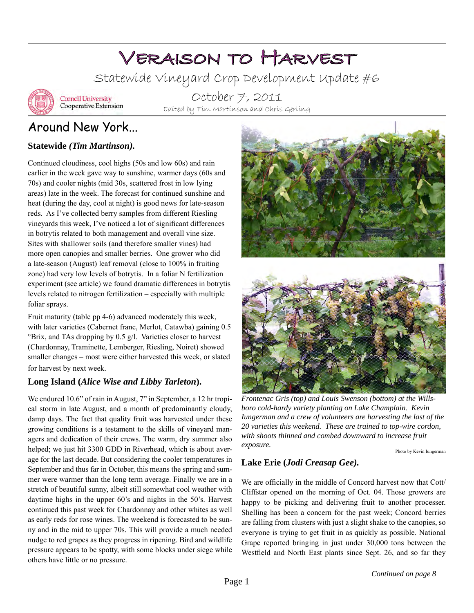# Veraison to Harvest

Statewide Vineyard Crop Development Update #6



**Cornell University** Cooperative Extension

October 7, 2011 Edited by Tim Martinson and Chris Gerling

## Around New York...

#### **Statewide** *(Tim Martinson).*

Continued cloudiness, cool highs (50s and low 60s) and rain earlier in the week gave way to sunshine, warmer days (60s and 70s) and cooler nights (mid 30s, scattered frost in low lying areas) late in the week. The forecast for continued sunshine and heat (during the day, cool at night) is good news for late-season reds. As I've collected berry samples from different Riesling vineyards this week, I've noticed a lot of significant differences in botrytis related to both management and overall vine size. Sites with shallower soils (and therefore smaller vines) had more open canopies and smaller berries. One grower who did a late-season (August) leaf removal (close to 100% in fruiting zone) had very low levels of botrytis. In a foliar N fertilization experiment (see article) we found dramatic differences in botrytis levels related to nitrogen fertilization – especially with multiple foliar sprays.

Fruit maturity (table pp 4-6) advanced moderately this week, with later varieties (Cabernet franc, Merlot, Catawba) gaining 0.5 °Brix, and TAs dropping by 0.5 g/l. Varieties closer to harvest (Chardonnay, Traminette, Lemberger, Riesling, Noiret) showed smaller changes – most were either harvested this week, or slated for harvest by next week.

#### **Long Island (***Alice Wise and Libby Tarleton***).**

We endured 10.6" of rain in August, 7" in September, a 12 hr tropical storm in late August, and a month of predominantly cloudy, damp days. The fact that quality fruit was harvested under these growing conditions is a testament to the skills of vineyard managers and dedication of their crews. The warm, dry summer also helped; we just hit 3300 GDD in Riverhead, which is about average for the last decade. But considering the cooler temperatures in September and thus far in October, this means the spring and summer were warmer than the long term average. Finally we are in a stretch of beautiful sunny, albeit still somewhat cool weather with daytime highs in the upper 60's and nights in the 50's. Harvest continued this past week for Chardonnay and other whites as well as early reds for rose wines. The weekend is forecasted to be sunny and in the mid to upper 70s. This will provide a much needed nudge to red grapes as they progress in ripening. Bird and wildlife pressure appears to be spotty, with some blocks under siege while others have little or no pressure.





*Frontenac Gris (top) and Louis Swenson (bottom) at the Willsboro cold-hardy variety planting on Lake Champlain. Kevin Iungerman and a crew of volunteers are harvesting the last of the 20 varieties this weekend. These are trained to top-wire cordon, with shoots thinned and combed downward to increase fruit exposure.*

Photo by Kevin Iungerman

#### **Lake Erie (***Jodi Creasap Gee).*

We are officially in the middle of Concord harvest now that Cott/ Cliffstar opened on the morning of Oct. 04. Those growers are happy to be picking and delivering fruit to another processer. Shelling has been a concern for the past week; Concord berries are falling from clusters with just a slight shake to the canopies, so everyone is trying to get fruit in as quickly as possible. National Grape reported bringing in just under 30,000 tons between the Westfield and North East plants since Sept. 26, and so far they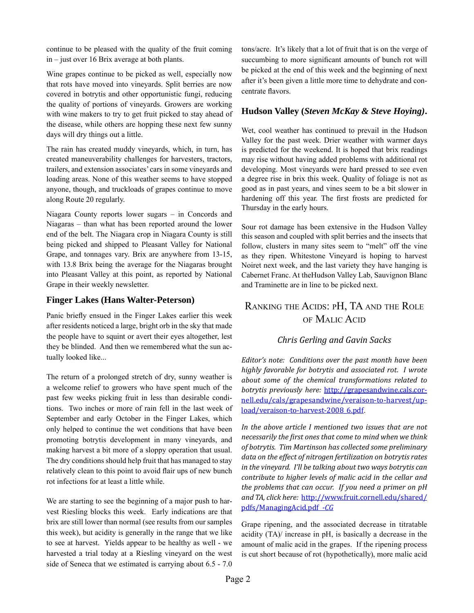continue to be pleased with the quality of the fruit coming in – just over 16 Brix average at both plants.

Wine grapes continue to be picked as well, especially now that rots have moved into vineyards. Split berries are now covered in botrytis and other opportunistic fungi, reducing the quality of portions of vineyards. Growers are working with wine makers to try to get fruit picked to stay ahead of the disease, while others are hopping these next few sunny days will dry things out a little.

The rain has created muddy vineyards, which, in turn, has created maneuverability challenges for harvesters, tractors, trailers, and extension associates' cars in some vineyards and loading areas. None of this weather seems to have stopped anyone, though, and truckloads of grapes continue to move along Route 20 regularly.

Niagara County reports lower sugars – in Concords and Niagaras – than what has been reported around the lower end of the belt. The Niagara crop in Niagara County is still being picked and shipped to Pleasant Valley for National Grape, and tonnages vary. Brix are anywhere from 13-15, with 13.8 Brix being the average for the Niagaras brought into Pleasant Valley at this point, as reported by National Grape in their weekly newsletter.

#### **Finger Lakes (Hans Walter-Peterson)**

Panic briefly ensued in the Finger Lakes earlier this week after residents noticed a large, bright orb in the sky that made the people have to squint or avert their eyes altogether, lest they be blinded. And then we remembered what the sun actually looked like...

The return of a prolonged stretch of dry, sunny weather is a welcome relief to growers who have spent much of the past few weeks picking fruit in less than desirable conditions. Two inches or more of rain fell in the last week of September and early October in the Finger Lakes, which only helped to continue the wet conditions that have been promoting botrytis development in many vineyards, and making harvest a bit more of a sloppy operation that usual. The dry conditions should help fruit that has managed to stay relatively clean to this point to avoid flair ups of new bunch rot infections for at least a little while.

We are starting to see the beginning of a major push to harvest Riesling blocks this week. Early indications are that brix are still lower than normal (see results from our samples this week), but acidity is generally in the range that we like to see at harvest. Yields appear to be healthy as well - we harvested a trial today at a Riesling vineyard on the west side of Seneca that we estimated is carrying about 6.5 - 7.0

tons/acre. It's likely that a lot of fruit that is on the verge of succumbing to more significant amounts of bunch rot will be picked at the end of this week and the beginning of next after it's been given a little more time to dehydrate and concentrate flavors.

#### **Hudson Valley (***Steven McKay & Steve Hoying)***.**

Wet, cool weather has continued to prevail in the Hudson Valley for the past week. Drier weather with warmer days is predicted for the weekend. It is hoped that brix readings may rise without having added problems with additional rot developing. Most vineyards were hard pressed to see even a degree rise in brix this week. Quality of foliage is not as good as in past years, and vines seem to be a bit slower in hardening off this year. The first frosts are predicted for Thursday in the early hours.

Sour rot damage has been extensive in the Hudson Valley this season and coupled with split berries and the insects that follow, clusters in many sites seem to "melt" off the vine as they ripen. Whitestone Vineyard is hoping to harvest Noiret next week, and the last variety they have hanging is Cabernet Franc. At theHudson Valley Lab, Sauvignon Blanc and Traminette are in line to be picked next.

#### Ranking the Acids: pH, TA and the Role of Malic Acid

#### *Chris Gerling and Gavin Sacks*

*Editor's note: Conditions over the past month have been highly favorable for botrytis and associated rot. I wrote about some of the chemical transformations related to botrytis previously here:* [http://grapesandwine.cals.cor](http://grapesandwine.cals.cornell.edu/cals/grapesandwine/veraison-to-harvest/upload/veraison-to-harvest-2008_6.pdf)[nell.edu/cals/grapesandwine/veraison-to-harvest/up](http://grapesandwine.cals.cornell.edu/cals/grapesandwine/veraison-to-harvest/upload/veraison-to-harvest-2008_6.pdf)[load/veraison-to-harvest-2008\\_6.pdf](http://grapesandwine.cals.cornell.edu/cals/grapesandwine/veraison-to-harvest/upload/veraison-to-harvest-2008_6.pdf).

In the above article I mentioned two issues that are not *necessarily the first ones that come to mind when we think of botrytis. Tim Martinson has collected some preliminary data on the effect of nitrogen fertilization on botrytis rates in the vineyard. I'll be talking about two ways botrytis can contribute to higher levels of malic acid in the cellar and the problems that can occur. If you need a primer on pH and TA, click here:* [http://www.fruit.cornell.edu/shared/](http://www.fruit.cornell.edu/shared/pdfs/ManagingAcid.pdf) [pdfs/ManagingAcid.pdf](http://www.fruit.cornell.edu/shared/pdfs/ManagingAcid.pdf) *-CG*

Grape ripening, and the associated decrease in titratable acidity (TA)/ increase in pH, is basically a decrease in the amount of malic acid in the grapes. If the ripening process is cut short because of rot (hypothetically), more malic acid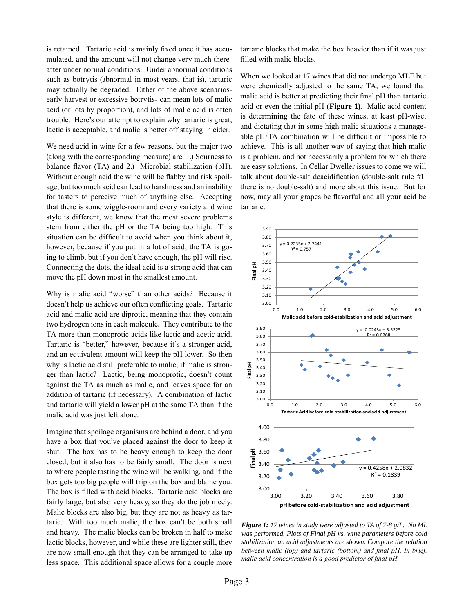is retained. Tartaric acid is mainly fixed once it has accumulated, and the amount will not change very much thereafter under normal conditions. Under abnormal conditions such as botrytis (abnormal in most years, that is), tartaric may actually be degraded. Either of the above scenariosearly harvest or excessive botrytis- can mean lots of malic acid (or lots by proportion), and lots of malic acid is often trouble. Here's our attempt to explain why tartaric is great, lactic is acceptable, and malic is better off staying in cider.

We need acid in wine for a few reasons, but the major two (along with the corresponding measure) are: 1.) Sourness to balance flavor (TA) and 2.) Microbial stabilization (pH). Without enough acid the wine will be flabby and risk spoilage, but too much acid can lead to harshness and an inability for tasters to perceive much of anything else. Accepting that there is some wiggle-room and every variety and wine style is different, we know that the most severe problems stem from either the pH or the TA being too high. This situation can be difficult to avoid when you think about it, however, because if you put in a lot of acid, the TA is going to climb, but if you don't have enough, the pH will rise. Connecting the dots, the ideal acid is a strong acid that can move the pH down most in the smallest amount.

Why is malic acid "worse" than other acids? Because it doesn't help us achieve our often conflicting goals. Tartaric acid and malic acid are diprotic, meaning that they contain two hydrogen ions in each molecule. They contribute to the TA more than monoprotic acids like lactic and acetic acid. Tartaric is "better," however, because it's a stronger acid, and an equivalent amount will keep the pH lower. So then why is lactic acid still preferable to malic, if malic is stronger than lactic? Lactic, being monoprotic, doesn't count against the TA as much as malic, and leaves space for an addition of tartaric (if necessary). A combination of lactic and tartaric will yield a lower pH at the same TA than if the malic acid was just left alone.

Imagine that spoilage organisms are behind a door, and you have a box that you've placed against the door to keep it shut. The box has to be heavy enough to keep the door closed, but it also has to be fairly small. The door is next to where people tasting the wine will be walking, and if the box gets too big people will trip on the box and blame you. The box is filled with acid blocks. Tartaric acid blocks are fairly large, but also very heavy, so they do the job nicely. Malic blocks are also big, but they are not as heavy as tartaric. With too much malic, the box can't be both small and heavy. The malic blocks can be broken in half to make lactic blocks, however, and while these are lighter still, they are now small enough that they can be arranged to take up less space. This additional space allows for a couple more tartaric blocks that make the box heavier than if it was just filled with malic blocks.

When we looked at 17 wines that did not undergo MLF but were chemically adjusted to the same TA, we found that malic acid is better at predicting their final pH than tartaric acid or even the initial pH (**Figure 1)**. Malic acid content is determining the fate of these wines, at least pH-wise, and dictating that in some high malic situations a manageable pH/TA combination will be difficult or impossible to achieve. This is all another way of saying that high malic is a problem, and not necessarily a problem for which there are easy solutions. In Cellar Dweller issues to come we will talk about double-salt deacidification (double-salt rule #1: there is no double-salt) and more about this issue. But for now, may all your grapes be flavorful and all your acid be tartaric.



*Figure 1: 17 wines in study were adjusted to TA of 7-8 g/L. No ML was performed. Plots of Final pH vs. wine parameters before cold stabilization an acid adjustments are shown. Compare the relation between malic (top) and tartaric (bottom) and final pH. In brief, malic acid concentration is a good predictor of final pH.*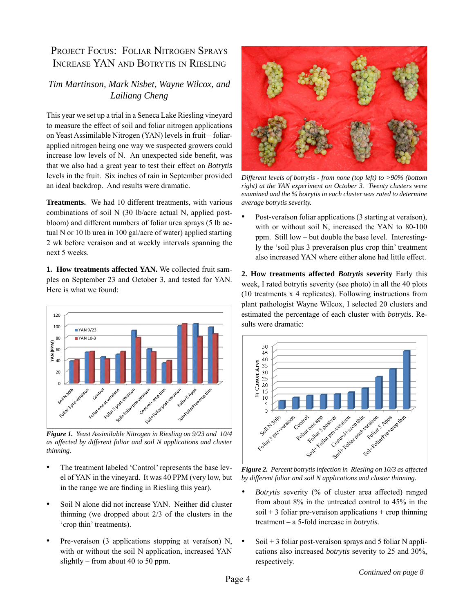### PROJECT FOCUS: FOLIAR NITROGEN SPRAYS Increase YAN and Botrytis in Riesling

#### *Tim Martinson, Mark Nisbet, Wayne Wilcox, and Lailiang Cheng*

This year we set up a trial in a Seneca Lake Riesling vineyard to measure the effect of soil and foliar nitrogen applications on Yeast Assimilable Nitrogen (YAN) levels in fruit – foliarapplied nitrogen being one way we suspected growers could increase low levels of N. An unexpected side benefit, was that we also had a great year to test their effect on *Botrytis*  levels in the fruit. Six inches of rain in September provided an ideal backdrop. And results were dramatic.

**Treatments.** We had 10 different treatments, with various combinations of soil N (30 lb/acre actual N, applied postbloom) and different numbers of foliar urea sprays (5 lb actual N or 10 lb urea in 100 gal/acre of water) applied starting 2 wk before veraíson and at weekly intervals spanning the next 5 weeks.

**1. How treatments affected YAN.** We collected fruit samples on September 23 and October 3, and tested for YAN. Here is what we found:



*Figure 1. Yeast Assimilable Nitrogen in Riesling on 9/23 and 10/4 as affected by different foliar and soil N applications and cluster thinning.*

- The treatment labeled 'Control' represents the base level of YAN in the vineyard. It was 40 PPM (very low, but in the range we are finding in Riesling this year).
- Soil N alone did not increase YAN. Neither did cluster thinning (we dropped about 2/3 of the clusters in the 'crop thin' treatments).
- Pre-veraíson (3 applications stopping at veraíson) N, with or without the soil N application, increased YAN slightly – from about 40 to 50 ppm.



*Different levels of botrytis - from none (top left) to >90% (bottom right) at the YAN experiment on October 3. Twenty clusters were examined and the % botrytis in each cluster was rated to determine average botrytis severity.*

Post-veraíson foliar applications (3 starting at veraíson), with or without soil N, increased the YAN to 80-100 ppm. Still low – but double the base level. Interestingly the 'soil plus 3 preveraíson plus crop thin' treatment also increased YAN where either alone had little effect.

**2. How treatments affected** *Botrytis* **severity** Early this week, I rated botrytis severity (see photo) in all the 40 plots (10 treatments x 4 replicates). Following instructions from plant pathologist Wayne Wilcox, I selected 20 clusters and estimated the percentage of each cluster with *botrytis*. Results were dramatic:



*Figure 2. Percent botrytis infection in Riesling on 10/3 as affected by different foliar and soil N applications and cluster thinning.*

- *• Botrytis* severity (% of cluster area affected) ranged from about 8% in the untreated control to 45% in the  $\text{soil} + 3$  foliar pre-veraíson applications + crop thinning treatment – a 5-fold increase in *botrytis.*
- $Soil + 3$  foliar post-veraíson sprays and 5 foliar N applications also increased *botrytis* severity to 25 and 30%, respectively.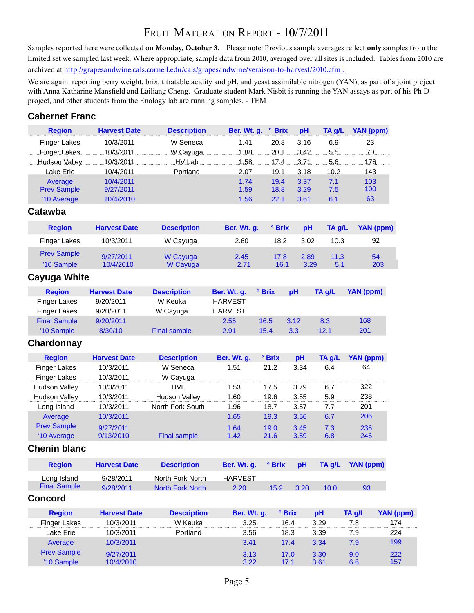## FRUIT MATURATION REPORT - 10/7/2011

Samples reported here were collected on **Monday, October 3.** Please note: Previous sample averages reflect **only** samples from the limited set we sampled last week. Where appropriate, sample data from 2010, averaged over all sites is included. Tables from 2010 are archived at http://grapesandwine.cals.cornell.edu/cals/grapesandwine/veraison-to-harvest/2010.cfm.

We are again reporting berry weight, brix, titratable acidity and pH, and yeast assimilable nitrogen (YAN), as part of a joint project with Anna Katharine Mansfield and Lailiang Cheng. Graduate student Mark Nisbit is running the YAN assays as part of his Ph D project, and other students from the Enology lab are running samples. - TEM

#### **Cabernet Franc**

| <b>Region</b>        | <b>Harvest Date</b> | <b>Description</b>      | Ber. Wt. g.    | <b>• Brix</b> | рH     | TA g/L | YAN (ppm)        |                  |
|----------------------|---------------------|-------------------------|----------------|---------------|--------|--------|------------------|------------------|
| <b>Finger Lakes</b>  | 10/3/2011           | W Seneca                | 1.41           | 20.8          | 3.16   | 6.9    | 23               |                  |
| Finger Lakes         | 10/3/2011           | W Cayuga                | 1.88           | 20.1          | 3.42   | 5.5.   | 70               |                  |
| Hudson Valley        | 10/3/2011           | HV Lab                  | 1.58           | 17.4          | 3.71   | 5.6    | 176              |                  |
| Lake Erie            | 10/4/2011           | Portland                | 2.07           | 19.1          | 3.18   | 10.2   | 143              |                  |
| Average              | 10/4/2011           |                         | 1.74           | 19.4          | 3.37   | 7.1    | 103              |                  |
| <b>Prev Sample</b>   | 9/27/2011           |                         | 1.59           | 18.8          | 3.29   | 7.5    | 100              |                  |
| '10 Average          | 10/4/2010           |                         | 1.56           | 22.1          | 3.61   | 6.1    | 63               |                  |
| Catawba              |                     |                         |                |               |        |        |                  |                  |
| <b>Region</b>        | <b>Harvest Date</b> | <b>Description</b>      | Ber. Wt. g.    | ° Brix        | pH     | TA g/L | YAN (ppm)        |                  |
| <b>Finger Lakes</b>  | 10/3/2011           | W Cayuga                | 2.60           | 18.2          | 3.02   | 10.3   | 92               |                  |
| <b>Prev Sample</b>   | 9/27/2011           | W Cayuga                | 2.45           | 17.8          | 2.89   | 11.3   | 54               |                  |
| '10 Sample           | 10/4/2010           | W Cayuga                | 2.71           | 16.1          | 3.29   | 5.1    | 203              |                  |
| Cayuga White         |                     |                         |                |               |        |        |                  |                  |
| <b>Region</b>        | <b>Harvest Date</b> | <b>Description</b>      | Ber. Wt. g.    | ° Brix        | pH     | TA g/L | YAN (ppm)        |                  |
| <b>Finger Lakes</b>  | 9/20/2011           | W Keuka                 | <b>HARVEST</b> |               |        |        |                  |                  |
| <b>Finger Lakes</b>  | 9/20/2011           | W Cayuga                | <b>HARVEST</b> |               |        |        |                  |                  |
| <b>Final Sample</b>  | 9/20/2011           |                         | 2.55           | 16.5          | 3.12   | 8.3    | 168              |                  |
| '10 Sample           | 8/30/10             | <b>Final sample</b>     | 2.91           | 15.4          | 3.3    | 12.1   | 201              |                  |
| Chardonnay           |                     |                         |                |               |        |        |                  |                  |
| <b>Region</b>        | <b>Harvest Date</b> | <b>Description</b>      | Ber. Wt. g.    | ° Brix        | pH     | TA g/L | YAN (ppm)        |                  |
| <b>Finger Lakes</b>  | 10/3/2011           | W Seneca                | 1.51           | 21.2          | 3.34   | 6.4    | 64               |                  |
| <b>Finger Lakes</b>  | 10/3/2011           | W Cayuga                |                |               |        |        |                  |                  |
| <b>Hudson Valley</b> | 10/3/2011           | <b>HVL</b>              | 1.53           | 17.5          | 3.79   | 6.7    | 322              |                  |
| <b>Hudson Valley</b> | 10/3/2011           | <b>Hudson Valley</b>    | 1.60           | 19.6          | 3.55   | 5.9    | 238              |                  |
| Long Island          | 10/3/2011           | North Fork South        | 1.96           | 18.7          | 3.57   | 7.7    | 201              |                  |
| Average              | 10/3/2011           |                         | 1.65           | 19.3          | 3.56   | 6.7    | 206              |                  |
| <b>Prev Sample</b>   | 9/27/2011           |                         | 1.64           | 19.0          | 3.45   | 7.3    | 236              |                  |
| '10 Average          | 9/13/2010           | <b>Final sample</b>     | 1.42           | 21.6          | 3.59   | 6.8    | 246              |                  |
| <b>Chenin blanc</b>  |                     |                         |                |               |        |        |                  |                  |
| <b>Region</b>        | <b>Harvest Date</b> | <b>Description</b>      | Ber. Wt. g.    | ° Brix        | pH     | TA g/L | <b>YAN</b> (ppm) |                  |
| Long Island          | 9/28/2011           | North Fork North        | <b>HARVEST</b> |               |        |        |                  |                  |
| <b>Final Sample</b>  | 9/28/2011           | <b>North Fork North</b> | 2.20           | 15.2          | 3.20   | 10.0   | 93               |                  |
| <b>Concord</b>       |                     |                         |                |               |        |        |                  |                  |
| <b>Region</b>        | <b>Harvest Date</b> | <b>Description</b>      | Ber. Wt. g.    |               | ° Brix | pH     | TA g/L           | <b>YAN</b> (ppm) |
| <b>Finger Lakes</b>  | 10/3/2011           | W Keuka                 | 3.25           |               | 16.4   | 3.29   | 7.8              | 174              |
| Lake Erie            | 10/3/2011           | Portland                | 3.56           |               | 18.3   | 3.39   | 7.9              | 224              |
| Average              | 10/3/2011           |                         | 3.41           |               | 17.4   | 3.34   | 7.9              | 199              |
| <b>Prev Sample</b>   | 9/27/2011           |                         | 3.13           |               | 17.0   | 3.30   | 9.0              | 222              |
| '10 Sample           | 10/4/2010           |                         | 3.22           |               | 17.1   | 3.61   | 6.6              | 157              |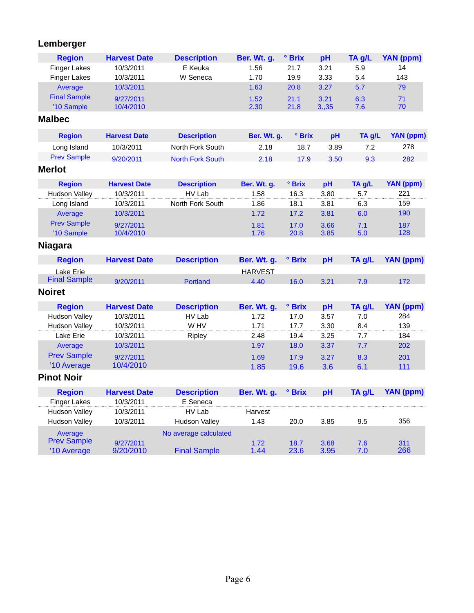## **Lemberger**

| <b>Region</b>        | <b>Harvest Date</b> | <b>Description</b>      | Ber. Wt. g.    | ° Brix | pH   | TA g/L | <b>YAN (ppm)</b> |
|----------------------|---------------------|-------------------------|----------------|--------|------|--------|------------------|
| <b>Finger Lakes</b>  | 10/3/2011           | E Keuka                 | 1.56           | 21.7   | 3.21 | 5.9    | 14               |
| <b>Finger Lakes</b>  | 10/3/2011           | W Seneca                | 1.70           | 19.9   | 3.33 | 5.4    | 143              |
| Average              | 10/3/2011           |                         | 1.63           | 20.8   | 3.27 | 5.7    | 79               |
| <b>Final Sample</b>  | 9/27/2011           |                         | 1.52           | 21.1   | 3.21 | 6.3    | 71               |
| '10 Sample           | 10/4/2010           |                         | 2.30           | 21,8   | 3.35 | 7.6    | 70               |
| <b>Malbec</b>        |                     |                         |                |        |      |        |                  |
| <b>Region</b>        | <b>Harvest Date</b> | <b>Description</b>      | Ber. Wt. g.    | ° Brix | pH   | TA g/L | <b>YAN (ppm)</b> |
| Long Island          | 10/3/2011           | North Fork South        | 2.18           | 18.7   | 3.89 | 7.2    | 278              |
| <b>Prev Sample</b>   | 9/20/2011           | <b>North Fork South</b> | 2.18           | 17.9   | 3.50 | 9.3    | 282              |
| <b>Merlot</b>        |                     |                         |                |        |      |        |                  |
| <b>Region</b>        | <b>Harvest Date</b> | <b>Description</b>      | Ber. Wt. g.    | ° Brix | pH   | TA g/L | YAN (ppm)        |
| <b>Hudson Valley</b> | 10/3/2011           | HV Lab                  | 1.58           | 16.3   | 3.80 | 5.7    | 221              |
| Long Island          | 10/3/2011           | North Fork South        | 1.86           | 18.1   | 3.81 | 6.3    | 159              |
| Average              | 10/3/2011           |                         | 1.72           | 17.2   | 3.81 | 6.0    | 190              |
| <b>Prev Sample</b>   | 9/27/2011           |                         | 1.81           | 17.0   | 3.66 | 7.1    | 187              |
| '10 Sample           | 10/4/2010           |                         | 1.76           | 20.8   | 3.85 | 5.0    | 128              |
| <b>Niagara</b>       |                     |                         |                |        |      |        |                  |
| <b>Region</b>        | <b>Harvest Date</b> | <b>Description</b>      | Ber. Wt. g.    | ° Brix | pH   | TA g/L | <b>YAN (ppm)</b> |
| Lake Erie            |                     |                         | <b>HARVEST</b> |        |      |        |                  |
| <b>Final Sample</b>  | 9/20/2011           | <b>Portland</b>         | 4.40           | 16.0   | 3.21 | 7.9    | 172              |
| <b>Noiret</b>        |                     |                         |                |        |      |        |                  |
| <b>Region</b>        | <b>Harvest Date</b> | <b>Description</b>      | Ber. Wt. g.    | ° Brix | pH   | TA g/L | YAN (ppm)        |
| <b>Hudson Valley</b> | 10/3/2011           | HV Lab                  | 1.72           | 17.0   | 3.57 | 7.0    | 284              |
| <b>Hudson Valley</b> | 10/3/2011           | W HV                    | 1.71           | 17.7   | 3.30 | 8.4    | 139              |
| Lake Erie            | 10/3/2011           | Ripley                  | 2.48           | 19.4   | 3.25 | 7.7    | 184              |
| Average              | 10/3/2011           |                         | 1.97           | 18.0   | 3.37 | 7.7    | 202              |
| <b>Prev Sample</b>   | 9/27/2011           |                         | 1.69           | 17.9   | 3.27 | 8.3    | 201              |
| '10 Average          | 10/4/2010           |                         | 1.85           | 19.6   | 3.6  | 6.1    | 111              |
| <b>Pinot Noir</b>    |                     |                         |                |        |      |        |                  |
| <b>Region</b>        | <b>Harvest Date</b> | <b>Description</b>      | Ber. Wt. g.    | ° Brix | pH   | TA g/L | <b>YAN</b> (ppm) |
| <b>Finger Lakes</b>  | 10/3/2011           | E Seneca                |                |        |      |        |                  |
| <b>Hudson Valley</b> | 10/3/2011           | HV Lab                  | Harvest        |        |      |        |                  |
| <b>Hudson Valley</b> | 10/3/2011           | <b>Hudson Valley</b>    | 1.43           | 20.0   | 3.85 | 9.5    | 356              |
| Average              |                     | No average calculated   |                |        |      |        |                  |
| <b>Prev Sample</b>   | 9/27/2011           |                         | 1.72           | 18.7   | 3.68 | 7.6    | 311              |
| '10 Average          | 9/20/2010           | <b>Final Sample</b>     | 1.44           | 23.6   | 3.95 | 7.0    | 266              |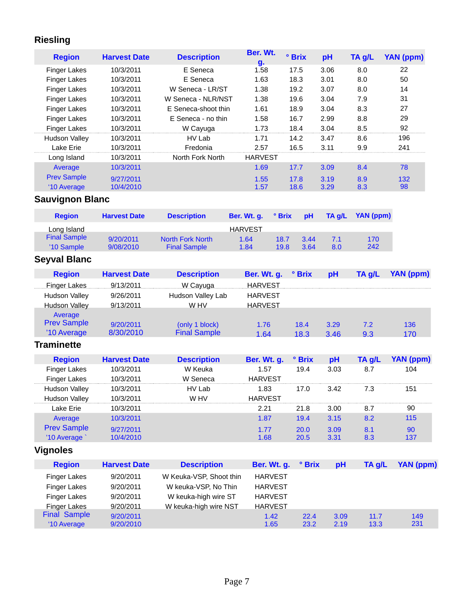## **Riesling**

| <b>Region</b>          | <b>Harvest Date</b> | <b>Description</b>  | Ber. Wt.<br>g. | <b><sup>o</sup></b> Brix | pH   | TA g/L | YAN (ppm) |
|------------------------|---------------------|---------------------|----------------|--------------------------|------|--------|-----------|
| <b>Finger Lakes</b>    | 10/3/2011           | E Seneca            | 1.58           | 17.5                     | 3.06 | 8.0    | 22        |
| <b>Finger Lakes</b>    | 10/3/2011           | E Seneca            | 1.63           | 18.3                     | 3.01 | 8.0    | 50        |
| <b>Finger Lakes</b>    | 10/3/2011           | W Seneca - LR/ST    | 1.38           | 19.2                     | 3.07 | 8.0    | 14        |
| <b>Finger Lakes</b>    | 10/3/2011           | W Seneca - NLR/NST  | 1.38           | 19.6                     | 3.04 | 7.9    | 31        |
| <b>Finger Lakes</b>    | 10/3/2011           | E Seneca-shoot thin | 1.61           | 18.9                     | 3.04 | 8.3    | 27        |
| <b>Finger Lakes</b>    | 10/3/2011           | E Seneca - no thin  | 1.58           | 16.7                     | 2.99 | 8.8    | 29        |
| <b>Finger Lakes</b>    | 10/3/2011           | W Cayuga            | 1.73           | 18.4                     | 3.04 | 8.5    | 92        |
| <b>Hudson Valley</b>   | 10/3/2011           | HV Lab              | 1.71           | 14.2                     | 3.47 | 8.6    | 196       |
| Lake Erie              | 10/3/2011           | Fredonia            | 2.57           | 16.5                     | 3.11 | 9.9    | 241       |
| Long Island            | 10/3/2011           | North Fork North    | <b>HARVEST</b> |                          |      |        |           |
| Average                | 10/3/2011           |                     | 1.69           | 17.7                     | 3.09 | 8.4    | 78        |
| <b>Prev Sample</b>     | 9/27/2011           |                     | 1.55           | 17.8                     | 3.19 | 8.9    | 132       |
| '10 Average            | 10/4/2010           |                     | 1.57           | 18.6                     | 3.29 | 8.3    | 98        |
| <b>Sauvignon Blanc</b> |                     |                     |                |                          |      |        |           |

| <b>Region</b>       | <b>Harvest Date</b> | <b>Description</b>      | Ber. Wt. a.    | $^{\circ}$ Brix | <b>pH</b> | TA a/L | YAN (ppm) |
|---------------------|---------------------|-------------------------|----------------|-----------------|-----------|--------|-----------|
| Long Island         |                     |                         | <b>HARVEST</b> |                 |           |        |           |
| <b>Final Sample</b> | 9/20/2011           | <b>North Fork North</b> | 1.64           | 18.7            | 3.44      | 7.1    | 170       |
| '10 Sample          | 9/08/2010           | <b>Final Sample</b>     | 1.84           | 19.8            | 3.64      | 8.0    | 242       |

## **Seyval Blanc**

| <b>Region</b>                                | <b>Harvest Date</b>    | <b>Description</b>                    | <b>Ber. Wt. g.</b> | ° Brix       | рH           | TA g/L     | YAN (ppm)  |
|----------------------------------------------|------------------------|---------------------------------------|--------------------|--------------|--------------|------------|------------|
| Finger Lakes                                 | 9/13/2011              | W Cayuga                              | <b>HARVEST</b>     |              |              |            |            |
| Hudson Valley                                | 9/26/2011              | Hudson Valley Lab                     | <b>HARVEST</b>     |              |              |            |            |
| <b>Hudson Valley</b>                         | 9/13/2011              | W HV                                  | <b>HARVEST</b>     |              |              |            |            |
| Average<br><b>Prev Sample</b><br>'10 Average | 9/20/2011<br>8/30/2010 | (only 1 block)<br><b>Final Sample</b> | 1.76<br>164        | 18.4<br>18.3 | 3.29<br>3.46 | 7.2<br>9.3 | 136<br>170 |

## **Traminette**

| <b>Region</b>        | <b>Harvest Date</b> | <b>Description</b> | Ber. Wt. g.    | ° Brix | рH   | TA g/L |     |
|----------------------|---------------------|--------------------|----------------|--------|------|--------|-----|
| Finger Lakes         | 10/3/2011           | W Keuka            | 1.57           | 19.4   | 3.03 | 8.7    | 104 |
| <b>Finger Lakes</b>  | 0/3/2011            | Seneca             | HARVEST        |        |      |        |     |
| <b>Hudson Valley</b> | 10/3/2011           | HV Lab             | 1.83           | 17.0   | 3.42 | 7.3    | 151 |
| <b>Hudson Vallev</b> | 0/3/2011            | W HV               | <b>HARVEST</b> |        |      |        |     |
| Lake Erie            | 10/3/2011           |                    | 2.21           | 21.8   | 3.00 | 8.7    | 90  |
| Average              | 10/3/2011           |                    | 1.87           | 19.4   | 3.15 | 8.2    | 115 |
| <b>Prev Sample</b>   | 9/27/2011           |                    | 1.77           | 20.0   | 3.09 | 8.1    | 90  |
| 10 Average           | $\Omega$ /4/2010    |                    |                | 20.5   | 3.31 | 8.3    | 137 |

## **Vignoles**

| <b>Region</b>       | <b>Harvest Date</b> | <b>Description</b>      | <b>Ber. Wt. g.</b> | $^{\circ}$ Brix | pH   | TA g/L | YAN (ppm) |
|---------------------|---------------------|-------------------------|--------------------|-----------------|------|--------|-----------|
| Finger Lakes        | 9/20/2011           | W Keuka-VSP, Shoot thin | <b>HARVEST</b>     |                 |      |        |           |
| <b>Finger Lakes</b> | 9/20/2011           | W keuka-VSP, No Thin    | <b>HARVEST</b>     |                 |      |        |           |
| <b>Finger Lakes</b> | 9/20/2011           | W keuka-high wire ST    | <b>HARVEST</b>     |                 |      |        |           |
| Finger Lakes        | 9/20/2011           | W keuka-high wire NST   | <b>HARVEST</b>     |                 |      |        |           |
| <b>Final Sample</b> | 9/20/2011           |                         | 1.42               | 22.4            | 3.09 | 11.7   | 149       |
| '10 Average         | 9/20/2010           |                         | 1.65               | 23.2            | 2.19 | 13.3   | 231       |